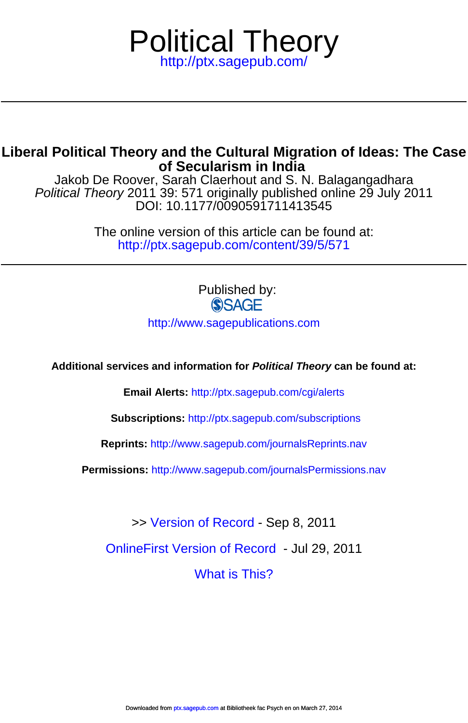

# **of Secularism in India Liberal Political Theo[ry and the Cultural Migration of Id](http://www.sagepub.com/journalsReprints.nav)eas: The Case**

DOI: 10.1177/0090591711413545 Political Theory 201[1 39: 571 originally published online 29 Ju](http://www.sagepub.com/journalsPermissions.nav)ly 2011 Jakob De Roover, Sarah Claerhout and S. N. Balagangadhara

> <http://ptx.sagepub.com/content/39/5/571> The online version of this article can be found at:

> > Published by:<br>
> > SAGE

<http://www.sagepublications.com>

**Additional services and info[rmation for](http://online.sagepub.com/site/sphelp/vorhelp.xhtml) Political Theory can be found at:**

**Email Alerts:** <http://ptx.sagepub.com/cgi/alerts>

**Subscriptions:** <http://ptx.sagepub.com/subscriptions>

**Reprints:** <http://www.sagepub.com/journalsReprints.nav>

**Permissions:** <http://www.sagepub.com/journalsPermissions.nav>

[OnlineFirst Version of Record](http://ptx.sagepub.com/content/early/2011/07/28/0090591711413545.full.pdf) - Jul 29, 2011 >> [Version of Record -](http://ptx.sagepub.com/content/39/5/571.full.pdf) Sep 8, 2011

[What is This?](http://online.sagepub.com/site/sphelp/vorhelp.xhtml)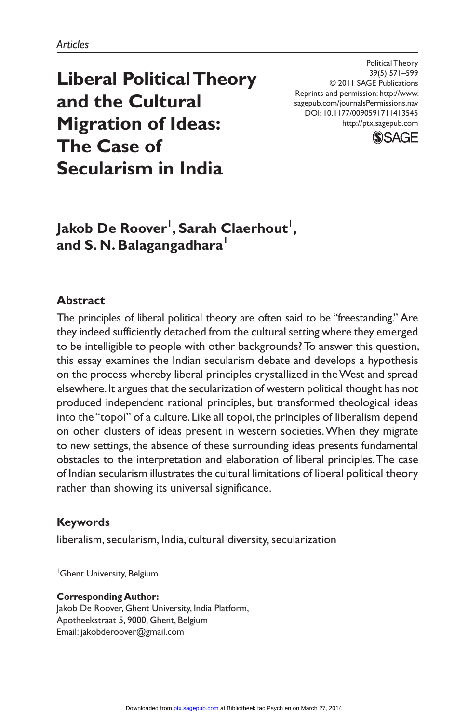**Liberal Political Theory and the Cultural Migration of Ideas: The Case of Secularism in India**

Political Theory 39(5) 571–599 © 2011 SAGE Publications Reprints and permission: http://www. sagepub.com/journalsPermissions.nav DOI: 10.1177/0090591711413545 http://ptx.sagepub.com



Jakob De Roover<sup>'</sup>, Sarah Claerhout<sup>'</sup>, and S. N. Balagangadhara<sup>1</sup>

#### **Abstract**

The principles of liberal political theory are often said to be "freestanding." Are they indeed sufficiently detached from the cultural setting where they emerged to be intelligible to people with other backgrounds? To answer this question, this essay examines the Indian secularism debate and develops a hypothesis on the process whereby liberal principles crystallized in the West and spread elsewhere. It argues that the secularization of western political thought has not produced independent rational principles, but transformed theological ideas into the "topoi" of a culture. Like all topoi, the principles of liberalism depend on other clusters of ideas present in western societies. When they migrate to new settings, the absence of these surrounding ideas presents fundamental obstacles to the interpretation and elaboration of liberal principles. The case of Indian secularism illustrates the cultural limitations of liberal political theory rather than showing its universal significance.

#### **Keywords**

liberalism, secularism, India, cultural diversity, secularization

<sup>1</sup>Ghent University, Belgium

#### **Corresponding Author:**

Jakob De Roover, Ghent University, India Platform, Apotheekstraat 5, 9000, Ghent, Belgium Email: jakobderoover@gmail.com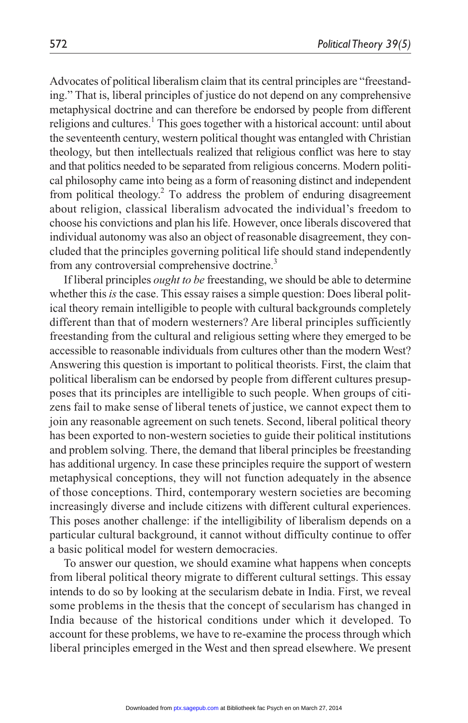Advocates of political liberalism claim that its central principles are "freestanding." That is, liberal principles of justice do not depend on any comprehensive metaphysical doctrine and can therefore be endorsed by people from different religions and cultures.<sup>1</sup> This goes together with a historical account: until about the seventeenth century, western political thought was entangled with Christian theology, but then intellectuals realized that religious conflict was here to stay and that politics needed to be separated from religious concerns. Modern political philosophy came into being as a form of reasoning distinct and independent from political theology.<sup>2</sup> To address the problem of enduring disagreement about religion, classical liberalism advocated the individual's freedom to choose his convictions and plan his life. However, once liberals discovered that individual autonomy was also an object of reasonable disagreement, they concluded that the principles governing political life should stand independently from any controversial comprehensive doctrine.<sup>3</sup>

If liberal principles *ought to be* freestanding, we should be able to determine whether this *is* the case. This essay raises a simple question: Does liberal political theory remain intelligible to people with cultural backgrounds completely different than that of modern westerners? Are liberal principles sufficiently freestanding from the cultural and religious setting where they emerged to be accessible to reasonable individuals from cultures other than the modern West? Answering this question is important to political theorists. First, the claim that political liberalism can be endorsed by people from different cultures presupposes that its principles are intelligible to such people. When groups of citizens fail to make sense of liberal tenets of justice, we cannot expect them to join any reasonable agreement on such tenets. Second, liberal political theory has been exported to non-western societies to guide their political institutions and problem solving. There, the demand that liberal principles be freestanding has additional urgency. In case these principles require the support of western metaphysical conceptions, they will not function adequately in the absence of those conceptions. Third, contemporary western societies are becoming increasingly diverse and include citizens with different cultural experiences. This poses another challenge: if the intelligibility of liberalism depends on a particular cultural background, it cannot without difficulty continue to offer a basic political model for western democracies.

To answer our question, we should examine what happens when concepts from liberal political theory migrate to different cultural settings. This essay intends to do so by looking at the secularism debate in India. First, we reveal some problems in the thesis that the concept of secularism has changed in India because of the historical conditions under which it developed. To account for these problems, we have to re-examine the process through which liberal principles emerged in the West and then spread elsewhere. We present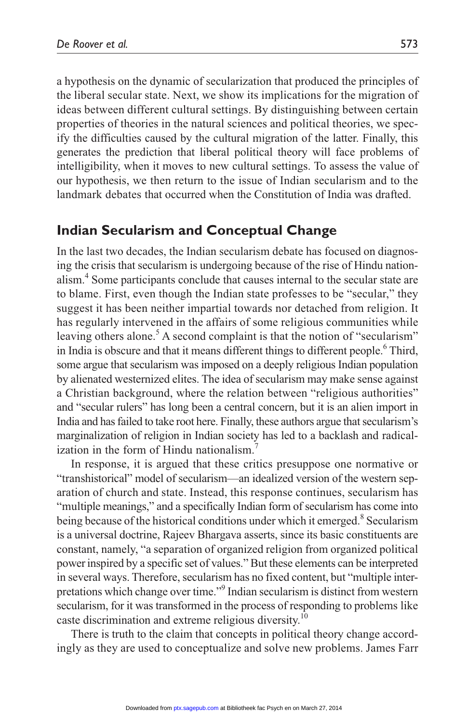a hypothesis on the dynamic of secularization that produced the principles of the liberal secular state. Next, we show its implications for the migration of ideas between different cultural settings. By distinguishing between certain properties of theories in the natural sciences and political theories, we specify the difficulties caused by the cultural migration of the latter. Finally, this generates the prediction that liberal political theory will face problems of intelligibility, when it moves to new cultural settings. To assess the value of our hypothesis, we then return to the issue of Indian secularism and to the landmark debates that occurred when the Constitution of India was drafted.

## **Indian Secularism and Conceptual Change**

In the last two decades, the Indian secularism debate has focused on diagnosing the crisis that secularism is undergoing because of the rise of Hindu nationalism.<sup>4</sup> Some participants conclude that causes internal to the secular state are to blame. First, even though the Indian state professes to be "secular," they suggest it has been neither impartial towards nor detached from religion. It has regularly intervened in the affairs of some religious communities while leaving others alone.<sup>5</sup> A second complaint is that the notion of "secularism" in India is obscure and that it means different things to different people.<sup>6</sup> Third, some argue that secularism was imposed on a deeply religious Indian population by alienated westernized elites. The idea of secularism may make sense against a Christian background, where the relation between "religious authorities" and "secular rulers" has long been a central concern, but it is an alien import in India and has failed to take root here. Finally, these authors argue that secularism's marginalization of religion in Indian society has led to a backlash and radicalization in the form of Hindu nationalism.

In response, it is argued that these critics presuppose one normative or "transhistorical" model of secularism—an idealized version of the western separation of church and state. Instead, this response continues, secularism has "multiple meanings," and a specifically Indian form of secularism has come into being because of the historical conditions under which it emerged.<sup>8</sup> Secularism is a universal doctrine, Rajeev Bhargava asserts, since its basic constituents are constant, namely, "a separation of organized religion from organized political power inspired by a specific set of values." But these elements can be interpreted in several ways. Therefore, secularism has no fixed content, but "multiple interpretations which change over time."<sup>9</sup> Indian secularism is distinct from western secularism, for it was transformed in the process of responding to problems like caste discrimination and extreme religious diversity.<sup>10</sup>

There is truth to the claim that concepts in political theory change accordingly as they are used to conceptualize and solve new problems. James Farr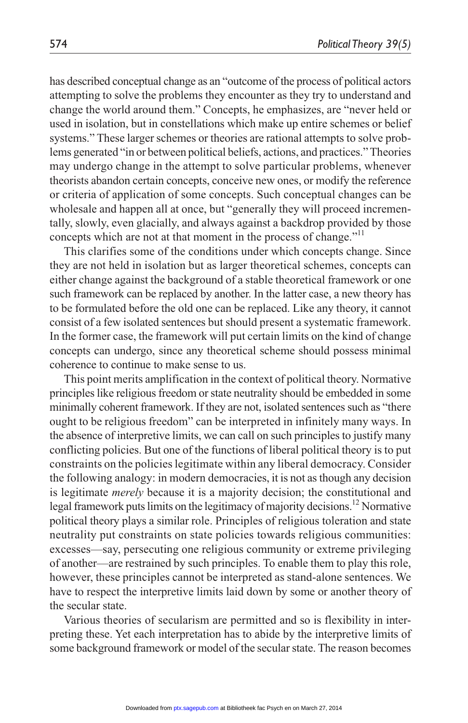has described conceptual change as an "outcome of the process of political actors attempting to solve the problems they encounter as they try to understand and change the world around them." Concepts, he emphasizes, are "never held or used in isolation, but in constellations which make up entire schemes or belief systems." These larger schemes or theories are rational attempts to solve problems generated "in or between political beliefs, actions, and practices." Theories may undergo change in the attempt to solve particular problems, whenever theorists abandon certain concepts, conceive new ones, or modify the reference or criteria of application of some concepts. Such conceptual changes can be wholesale and happen all at once, but "generally they will proceed incrementally, slowly, even glacially, and always against a backdrop provided by those concepts which are not at that moment in the process of change."<sup>11</sup>

This clarifies some of the conditions under which concepts change. Since they are not held in isolation but as larger theoretical schemes, concepts can either change against the background of a stable theoretical framework or one such framework can be replaced by another. In the latter case, a new theory has to be formulated before the old one can be replaced. Like any theory, it cannot consist of a few isolated sentences but should present a systematic framework. In the former case, the framework will put certain limits on the kind of change concepts can undergo, since any theoretical scheme should possess minimal coherence to continue to make sense to us.

This point merits amplification in the context of political theory. Normative principles like religious freedom or state neutrality should be embedded in some minimally coherent framework. If they are not, isolated sentences such as "there ought to be religious freedom" can be interpreted in infinitely many ways. In the absence of interpretive limits, we can call on such principles to justify many conflicting policies. But one of the functions of liberal political theory is to put constraints on the policies legitimate within any liberal democracy. Consider the following analogy: in modern democracies, it is not as though any decision is legitimate *merely* because it is a majority decision; the constitutional and legal framework puts limits on the legitimacy of majority decisions.12 Normative political theory plays a similar role. Principles of religious toleration and state neutrality put constraints on state policies towards religious communities: excesses—say, persecuting one religious community or extreme privileging of another—are restrained by such principles. To enable them to play this role, however, these principles cannot be interpreted as stand-alone sentences. We have to respect the interpretive limits laid down by some or another theory of the secular state.

Various theories of secularism are permitted and so is flexibility in interpreting these. Yet each interpretation has to abide by the interpretive limits of some background framework or model of the secular state. The reason becomes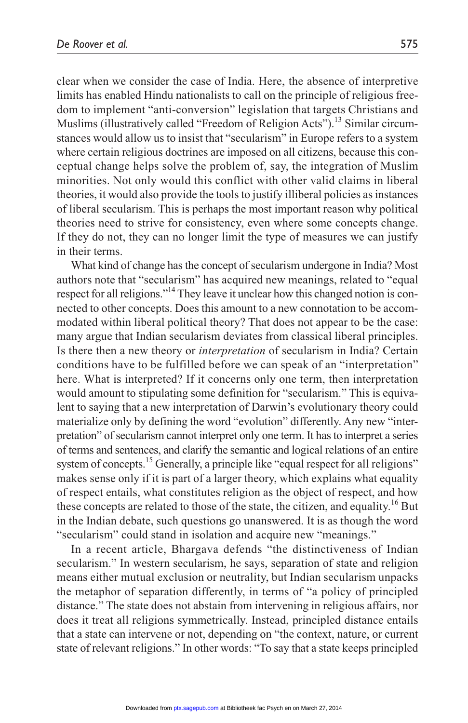clear when we consider the case of India. Here, the absence of interpretive limits has enabled Hindu nationalists to call on the principle of religious freedom to implement "anti-conversion" legislation that targets Christians and Muslims (illustratively called "Freedom of Religion Acts").<sup>13</sup> Similar circumstances would allow us to insist that "secularism" in Europe refers to a system where certain religious doctrines are imposed on all citizens, because this conceptual change helps solve the problem of, say, the integration of Muslim minorities. Not only would this conflict with other valid claims in liberal theories, it would also provide the tools to justify illiberal policies as instances of liberal secularism. This is perhaps the most important reason why political theories need to strive for consistency, even where some concepts change. If they do not, they can no longer limit the type of measures we can justify in their terms.

What kind of change has the concept of secularism undergone in India? Most authors note that "secularism" has acquired new meanings, related to "equal respect for all religions."14 They leave it unclear how this changed notion is connected to other concepts. Does this amount to a new connotation to be accommodated within liberal political theory? That does not appear to be the case: many argue that Indian secularism deviates from classical liberal principles. Is there then a new theory or *interpretation* of secularism in India? Certain conditions have to be fulfilled before we can speak of an "interpretation" here. What is interpreted? If it concerns only one term, then interpretation would amount to stipulating some definition for "secularism." This is equivalent to saying that a new interpretation of Darwin's evolutionary theory could materialize only by defining the word "evolution" differently. Any new "interpretation" of secularism cannot interpret only one term. It has to interpret a series of terms and sentences, and clarify the semantic and logical relations of an entire system of concepts.<sup>15</sup> Generally, a principle like "equal respect for all religions" makes sense only if it is part of a larger theory, which explains what equality of respect entails, what constitutes religion as the object of respect, and how these concepts are related to those of the state, the citizen, and equality.<sup>16</sup> But in the Indian debate, such questions go unanswered. It is as though the word "secularism" could stand in isolation and acquire new "meanings."

In a recent article, Bhargava defends "the distinctiveness of Indian secularism." In western secularism, he says, separation of state and religion means either mutual exclusion or neutrality, but Indian secularism unpacks the metaphor of separation differently, in terms of "a policy of principled distance." The state does not abstain from intervening in religious affairs, nor does it treat all religions symmetrically. Instead, principled distance entails that a state can intervene or not, depending on "the context, nature, or current state of relevant religions." In other words: "To say that a state keeps principled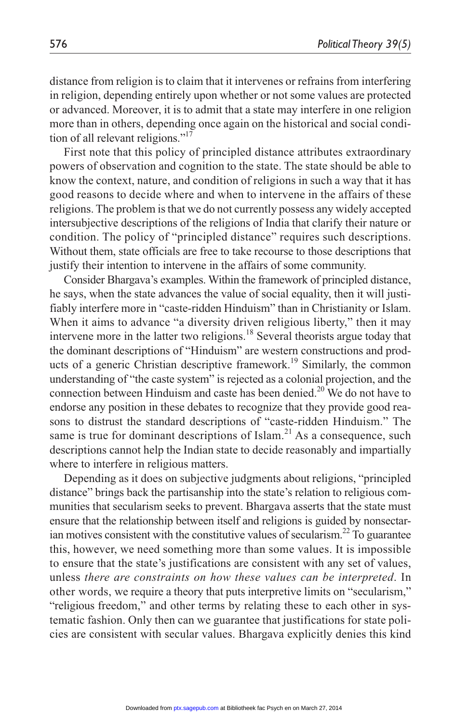distance from religion is to claim that it intervenes or refrains from interfering in religion, depending entirely upon whether or not some values are protected or advanced. Moreover, it is to admit that a state may interfere in one religion more than in others, depending once again on the historical and social condition of all relevant religions."<sup>17</sup>

First note that this policy of principled distance attributes extraordinary powers of observation and cognition to the state. The state should be able to know the context, nature, and condition of religions in such a way that it has good reasons to decide where and when to intervene in the affairs of these religions. The problem is that we do not currently possess any widely accepted intersubjective descriptions of the religions of India that clarify their nature or condition. The policy of "principled distance" requires such descriptions. Without them, state officials are free to take recourse to those descriptions that justify their intention to intervene in the affairs of some community.

Consider Bhargava's examples. Within the framework of principled distance, he says, when the state advances the value of social equality, then it will justifiably interfere more in "caste-ridden Hinduism" than in Christianity or Islam. When it aims to advance "a diversity driven religious liberty," then it may intervene more in the latter two religions.<sup>18</sup> Several theorists argue today that the dominant descriptions of "Hinduism" are western constructions and products of a generic Christian descriptive framework.<sup>19</sup> Similarly, the common understanding of "the caste system" is rejected as a colonial projection, and the connection between Hinduism and caste has been denied.<sup>20</sup> We do not have to endorse any position in these debates to recognize that they provide good reasons to distrust the standard descriptions of "caste-ridden Hinduism." The same is true for dominant descriptions of  $Islam.<sup>21</sup> As a consequence, such$ descriptions cannot help the Indian state to decide reasonably and impartially where to interfere in religious matters.

Depending as it does on subjective judgments about religions, "principled distance" brings back the partisanship into the state's relation to religious communities that secularism seeks to prevent. Bhargava asserts that the state must ensure that the relationship between itself and religions is guided by nonsectarian motives consistent with the constitutive values of secularism. $^{22}$  To guarantee this, however, we need something more than some values. It is impossible to ensure that the state's justifications are consistent with any set of values, unless *there are constraints on how these values can be interpreted*. In other words, we require a theory that puts interpretive limits on "secularism," "religious freedom," and other terms by relating these to each other in systematic fashion. Only then can we guarantee that justifications for state policies are consistent with secular values. Bhargava explicitly denies this kind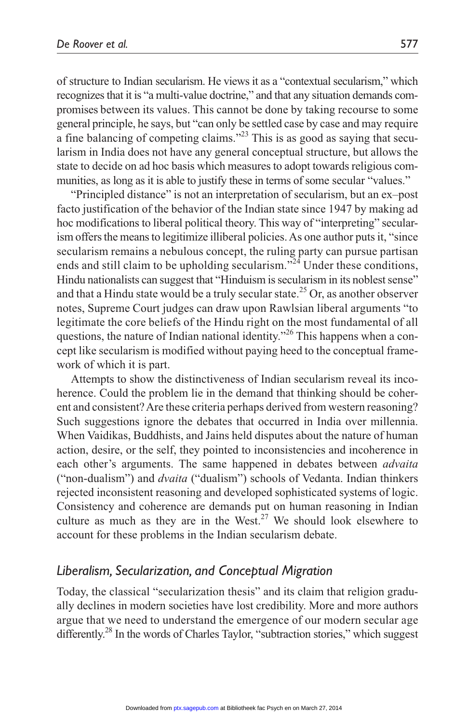of structure to Indian secularism. He views it as a "contextual secularism," which recognizes that it is "a multi-value doctrine," and that any situation demands compromises between its values. This cannot be done by taking recourse to some general principle, he says, but "can only be settled case by case and may require a fine balancing of competing claims."23 This is as good as saying that secularism in India does not have any general conceptual structure, but allows the state to decide on ad hoc basis which measures to adopt towards religious communities, as long as it is able to justify these in terms of some secular "values."

"Principled distance" is not an interpretation of secularism, but an ex–post facto justification of the behavior of the Indian state since 1947 by making ad hoc modifications to liberal political theory. This way of "interpreting" secularism offers the means to legitimize illiberal policies. As one author puts it, "since secularism remains a nebulous concept, the ruling party can pursue partisan ends and still claim to be upholding secularism."<sup>24</sup> Under these conditions, Hindu nationalists can suggest that "Hinduism is secularism in its noblest sense" and that a Hindu state would be a truly secular state.<sup>25</sup> Or, as another observer notes, Supreme Court judges can draw upon Rawlsian liberal arguments "to legitimate the core beliefs of the Hindu right on the most fundamental of all questions, the nature of Indian national identity.<sup> $26$ </sup> This happens when a concept like secularism is modified without paying heed to the conceptual framework of which it is part.

Attempts to show the distinctiveness of Indian secularism reveal its incoherence. Could the problem lie in the demand that thinking should be coherent and consistent? Are these criteria perhaps derived from western reasoning? Such suggestions ignore the debates that occurred in India over millennia. When Vaidikas, Buddhists, and Jains held disputes about the nature of human action, desire, or the self, they pointed to inconsistencies and incoherence in each other's arguments. The same happened in debates between *advaita* ("non-dualism") and *dvaita* ("dualism") schools of Vedanta. Indian thinkers rejected inconsistent reasoning and developed sophisticated systems of logic. Consistency and coherence are demands put on human reasoning in Indian culture as much as they are in the West. $27$  We should look elsewhere to account for these problems in the Indian secularism debate.

## *Liberalism, Secularization, and Conceptual Migration*

Today, the classical "secularization thesis" and its claim that religion gradually declines in modern societies have lost credibility. More and more authors argue that we need to understand the emergence of our modern secular age differently.<sup>28</sup> In the words of Charles Taylor, "subtraction stories," which suggest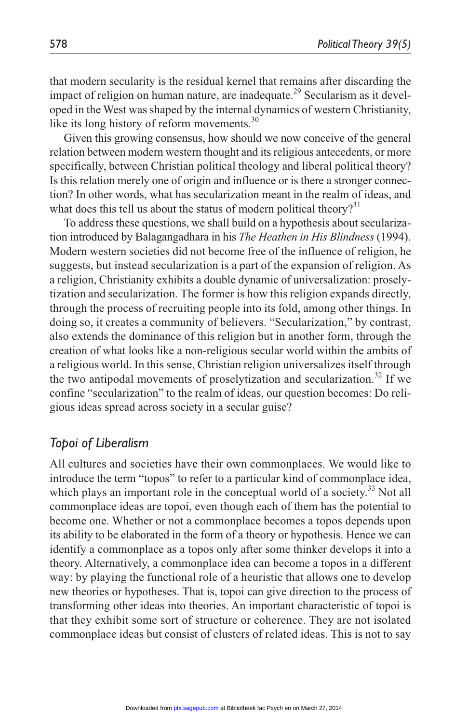that modern secularity is the residual kernel that remains after discarding the impact of religion on human nature, are inadequate.<sup>29</sup> Secularism as it developed in the West was shaped by the internal dynamics of western Christianity, like its long history of reform movements.<sup>30</sup>

Given this growing consensus, how should we now conceive of the general relation between modern western thought and its religious antecedents, or more specifically, between Christian political theology and liberal political theory? Is this relation merely one of origin and influence or is there a stronger connection? In other words, what has secularization meant in the realm of ideas, and what does this tell us about the status of modern political theory?<sup>31</sup>

To address these questions, we shall build on a hypothesis about secularization introduced by Balagangadhara in his *The Heathen in His Blindness* (1994). Modern western societies did not become free of the influence of religion, he suggests, but instead secularization is a part of the expansion of religion. As a religion, Christianity exhibits a double dynamic of universalization: proselytization and secularization. The former is how this religion expands directly, through the process of recruiting people into its fold, among other things. In doing so, it creates a community of believers. "Secularization," by contrast, also extends the dominance of this religion but in another form, through the creation of what looks like a non-religious secular world within the ambits of a religious world. In this sense, Christian religion universalizes itself through the two antipodal movements of proselytization and secularization.<sup>32</sup> If we confine "secularization" to the realm of ideas, our question becomes: Do religious ideas spread across society in a secular guise?

# *Topoi of Liberalism*

All cultures and societies have their own commonplaces. We would like to introduce the term "topos" to refer to a particular kind of commonplace idea, which plays an important role in the conceptual world of a society.<sup>33</sup> Not all commonplace ideas are topoi, even though each of them has the potential to become one. Whether or not a commonplace becomes a topos depends upon its ability to be elaborated in the form of a theory or hypothesis. Hence we can identify a commonplace as a topos only after some thinker develops it into a theory. Alternatively, a commonplace idea can become a topos in a different way: by playing the functional role of a heuristic that allows one to develop new theories or hypotheses. That is, topoi can give direction to the process of transforming other ideas into theories. An important characteristic of topoi is that they exhibit some sort of structure or coherence. They are not isolated commonplace ideas but consist of clusters of related ideas. This is not to say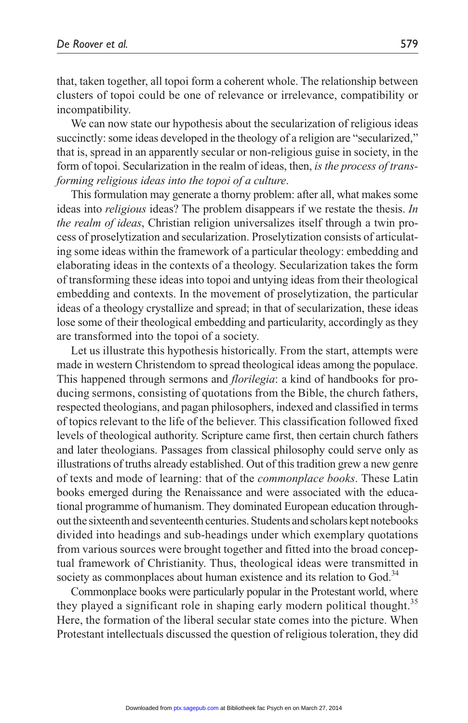that, taken together, all topoi form a coherent whole. The relationship between clusters of topoi could be one of relevance or irrelevance, compatibility or incompatibility.

We can now state our hypothesis about the secularization of religious ideas succinctly: some ideas developed in the theology of a religion are "secularized," that is, spread in an apparently secular or non-religious guise in society, in the form of topoi. Secularization in the realm of ideas, then, *is the process of transforming religious ideas into the topoi of a culture*.

This formulation may generate a thorny problem: after all, what makes some ideas into *religious* ideas? The problem disappears if we restate the thesis. *In the realm of ideas*, Christian religion universalizes itself through a twin process of proselytization and secularization. Proselytization consists of articulating some ideas within the framework of a particular theology: embedding and elaborating ideas in the contexts of a theology. Secularization takes the form of transforming these ideas into topoi and untying ideas from their theological embedding and contexts. In the movement of proselytization, the particular ideas of a theology crystallize and spread; in that of secularization, these ideas lose some of their theological embedding and particularity, accordingly as they are transformed into the topoi of a society.

Let us illustrate this hypothesis historically. From the start, attempts were made in western Christendom to spread theological ideas among the populace. This happened through sermons and *florilegia*: a kind of handbooks for producing sermons, consisting of quotations from the Bible, the church fathers, respected theologians, and pagan philosophers, indexed and classified in terms of topics relevant to the life of the believer. This classification followed fixed levels of theological authority. Scripture came first, then certain church fathers and later theologians. Passages from classical philosophy could serve only as illustrations of truths already established. Out of this tradition grew a new genre of texts and mode of learning: that of the *commonplace books*. These Latin books emerged during the Renaissance and were associated with the educational programme of humanism. They dominated European education throughout the sixteenth and seventeenth centuries. Students and scholars kept notebooks divided into headings and sub-headings under which exemplary quotations from various sources were brought together and fitted into the broad conceptual framework of Christianity. Thus, theological ideas were transmitted in society as commonplaces about human existence and its relation to God.<sup>34</sup>

Commonplace books were particularly popular in the Protestant world, where they played a significant role in shaping early modern political thought.<sup>35</sup> Here, the formation of the liberal secular state comes into the picture. When Protestant intellectuals discussed the question of religious toleration, they did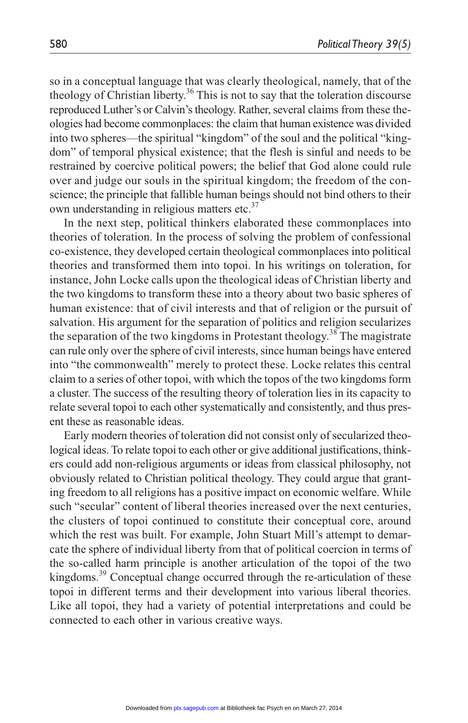so in a conceptual language that was clearly theological, namely, that of the theology of Christian liberty.<sup>36</sup> This is not to say that the toleration discourse reproduced Luther's or Calvin's theology. Rather, several claims from these theologies had become commonplaces: the claim that human existence was divided into two spheres—the spiritual "kingdom" of the soul and the political "kingdom" of temporal physical existence; that the flesh is sinful and needs to be restrained by coercive political powers; the belief that God alone could rule over and judge our souls in the spiritual kingdom; the freedom of the conscience; the principle that fallible human beings should not bind others to their own understanding in religious matters etc.<sup>37</sup>

In the next step, political thinkers elaborated these commonplaces into theories of toleration. In the process of solving the problem of confessional co-existence, they developed certain theological commonplaces into political theories and transformed them into topoi. In his writings on toleration, for instance, John Locke calls upon the theological ideas of Christian liberty and the two kingdoms to transform these into a theory about two basic spheres of human existence: that of civil interests and that of religion or the pursuit of salvation. His argument for the separation of politics and religion secularizes the separation of the two kingdoms in Protestant theology.<sup>38</sup> The magistrate can rule only over the sphere of civil interests, since human beings have entered into "the commonwealth" merely to protect these. Locke relates this central claim to a series of other topoi, with which the topos of the two kingdoms form a cluster. The success of the resulting theory of toleration lies in its capacity to relate several topoi to each other systematically and consistently, and thus present these as reasonable ideas.

Early modern theories of toleration did not consist only of secularized theological ideas. To relate topoi to each other or give additional justifications, thinkers could add non-religious arguments or ideas from classical philosophy, not obviously related to Christian political theology. They could argue that granting freedom to all religions has a positive impact on economic welfare. While such "secular" content of liberal theories increased over the next centuries, the clusters of topoi continued to constitute their conceptual core, around which the rest was built. For example, John Stuart Mill's attempt to demarcate the sphere of individual liberty from that of political coercion in terms of the so-called harm principle is another articulation of the topoi of the two kingdoms.<sup>39</sup> Conceptual change occurred through the re-articulation of these topoi in different terms and their development into various liberal theories. Like all topoi, they had a variety of potential interpretations and could be connected to each other in various creative ways.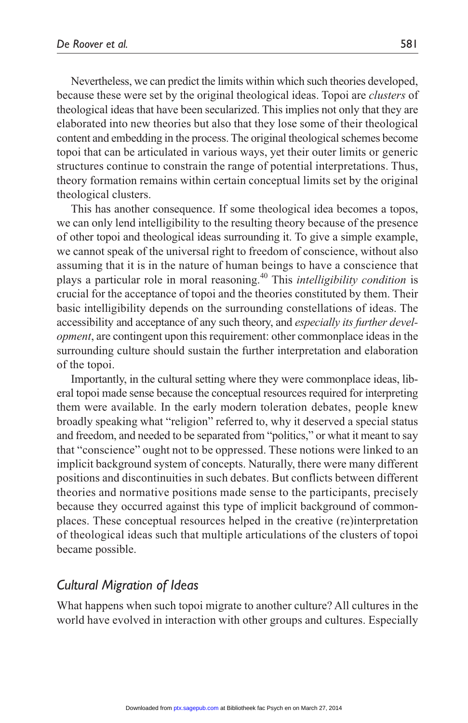Nevertheless, we can predict the limits within which such theories developed, because these were set by the original theological ideas. Topoi are *clusters* of theological ideas that have been secularized. This implies not only that they are elaborated into new theories but also that they lose some of their theological content and embedding in the process. The original theological schemes become topoi that can be articulated in various ways, yet their outer limits or generic structures continue to constrain the range of potential interpretations. Thus, theory formation remains within certain conceptual limits set by the original theological clusters.

This has another consequence. If some theological idea becomes a topos, we can only lend intelligibility to the resulting theory because of the presence of other topoi and theological ideas surrounding it. To give a simple example, we cannot speak of the universal right to freedom of conscience, without also assuming that it is in the nature of human beings to have a conscience that plays a particular role in moral reasoning.40 This *intelligibility condition* is crucial for the acceptance of topoi and the theories constituted by them. Their basic intelligibility depends on the surrounding constellations of ideas. The accessibility and acceptance of any such theory, and *especially its further development*, are contingent upon this requirement: other commonplace ideas in the surrounding culture should sustain the further interpretation and elaboration of the topoi.

Importantly, in the cultural setting where they were commonplace ideas, liberal topoi made sense because the conceptual resources required for interpreting them were available. In the early modern toleration debates, people knew broadly speaking what "religion" referred to, why it deserved a special status and freedom, and needed to be separated from "politics," or what it meant to say that "conscience" ought not to be oppressed. These notions were linked to an implicit background system of concepts. Naturally, there were many different positions and discontinuities in such debates. But conflicts between different theories and normative positions made sense to the participants, precisely because they occurred against this type of implicit background of commonplaces. These conceptual resources helped in the creative (re)interpretation of theological ideas such that multiple articulations of the clusters of topoi became possible.

## *Cultural Migration of Ideas*

What happens when such topoi migrate to another culture? All cultures in the world have evolved in interaction with other groups and cultures. Especially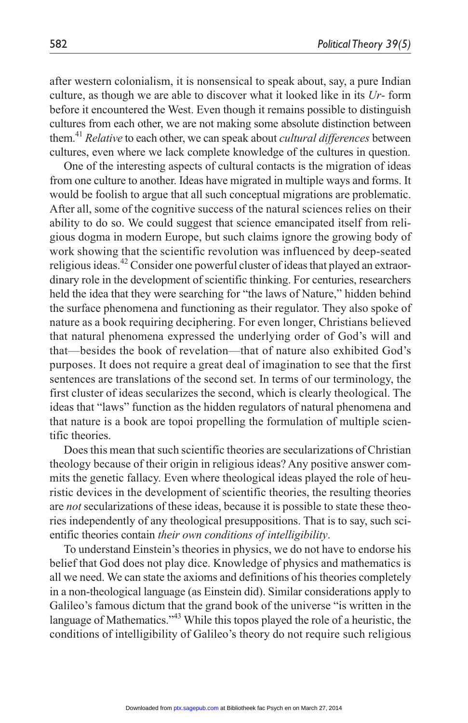after western colonialism, it is nonsensical to speak about, say, a pure Indian culture, as though we are able to discover what it looked like in its *Ur*- form before it encountered the West. Even though it remains possible to distinguish cultures from each other, we are not making some absolute distinction between them.41 *Relative* to each other, we can speak about *cultural differences* between cultures, even where we lack complete knowledge of the cultures in question.

One of the interesting aspects of cultural contacts is the migration of ideas from one culture to another. Ideas have migrated in multiple ways and forms. It would be foolish to argue that all such conceptual migrations are problematic. After all, some of the cognitive success of the natural sciences relies on their ability to do so. We could suggest that science emancipated itself from religious dogma in modern Europe, but such claims ignore the growing body of work showing that the scientific revolution was influenced by deep-seated religious ideas.<sup>42</sup> Consider one powerful cluster of ideas that played an extraordinary role in the development of scientific thinking. For centuries, researchers held the idea that they were searching for "the laws of Nature," hidden behind the surface phenomena and functioning as their regulator. They also spoke of nature as a book requiring deciphering. For even longer, Christians believed that natural phenomena expressed the underlying order of God's will and that—besides the book of revelation—that of nature also exhibited God's purposes. It does not require a great deal of imagination to see that the first sentences are translations of the second set. In terms of our terminology, the first cluster of ideas secularizes the second, which is clearly theological. The ideas that "laws" function as the hidden regulators of natural phenomena and that nature is a book are topoi propelling the formulation of multiple scientific theories.

Does this mean that such scientific theories are secularizations of Christian theology because of their origin in religious ideas? Any positive answer commits the genetic fallacy. Even where theological ideas played the role of heuristic devices in the development of scientific theories, the resulting theories are *not* secularizations of these ideas, because it is possible to state these theories independently of any theological presuppositions. That is to say, such scientific theories contain *their own conditions of intelligibility*.

To understand Einstein's theories in physics, we do not have to endorse his belief that God does not play dice. Knowledge of physics and mathematics is all we need. We can state the axioms and definitions of his theories completely in a non-theological language (as Einstein did). Similar considerations apply to Galileo's famous dictum that the grand book of the universe "is written in the language of Mathematics."<sup>43</sup> While this topos played the role of a heuristic, the conditions of intelligibility of Galileo's theory do not require such religious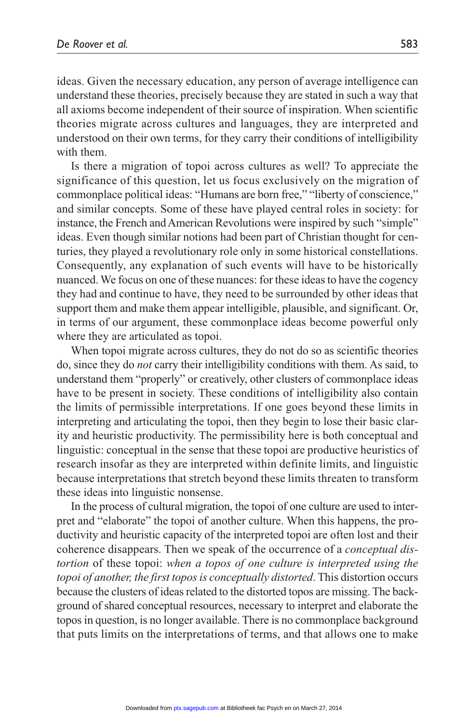ideas. Given the necessary education, any person of average intelligence can understand these theories, precisely because they are stated in such a way that all axioms become independent of their source of inspiration. When scientific theories migrate across cultures and languages, they are interpreted and understood on their own terms, for they carry their conditions of intelligibility with them.

Is there a migration of topoi across cultures as well? To appreciate the significance of this question, let us focus exclusively on the migration of commonplace political ideas: "Humans are born free," "liberty of conscience," and similar concepts. Some of these have played central roles in society: for instance, the French and American Revolutions were inspired by such "simple" ideas. Even though similar notions had been part of Christian thought for centuries, they played a revolutionary role only in some historical constellations. Consequently, any explanation of such events will have to be historically nuanced. We focus on one of these nuances: for these ideas to have the cogency they had and continue to have, they need to be surrounded by other ideas that support them and make them appear intelligible, plausible, and significant. Or, in terms of our argument, these commonplace ideas become powerful only where they are articulated as topoi.

When topoi migrate across cultures, they do not do so as scientific theories do, since they do *not* carry their intelligibility conditions with them. As said, to understand them "properly" or creatively, other clusters of commonplace ideas have to be present in society. These conditions of intelligibility also contain the limits of permissible interpretations. If one goes beyond these limits in interpreting and articulating the topoi, then they begin to lose their basic clarity and heuristic productivity. The permissibility here is both conceptual and linguistic: conceptual in the sense that these topoi are productive heuristics of research insofar as they are interpreted within definite limits, and linguistic because interpretations that stretch beyond these limits threaten to transform these ideas into linguistic nonsense.

In the process of cultural migration, the topoi of one culture are used to interpret and "elaborate" the topoi of another culture. When this happens, the productivity and heuristic capacity of the interpreted topoi are often lost and their coherence disappears. Then we speak of the occurrence of a *conceptual distortion* of these topoi: *when a topos of one culture is interpreted using the topoi of another, the first topos is conceptually distorted*. This distortion occurs because the clusters of ideas related to the distorted topos are missing. The background of shared conceptual resources, necessary to interpret and elaborate the topos in question, is no longer available. There is no commonplace background that puts limits on the interpretations of terms, and that allows one to make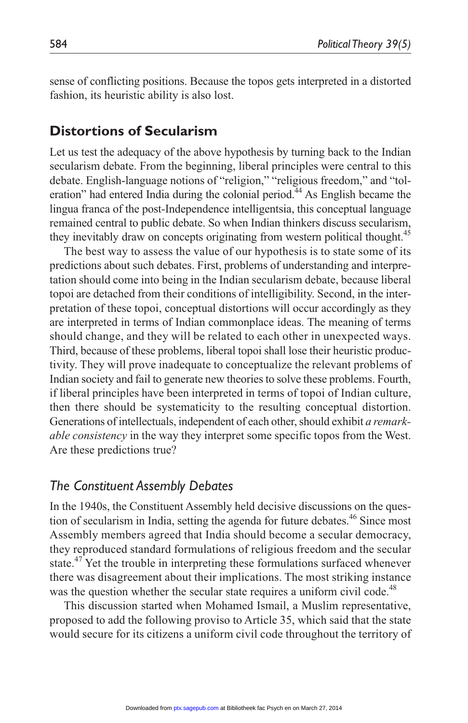sense of conflicting positions. Because the topos gets interpreted in a distorted fashion, its heuristic ability is also lost.

# **Distortions of Secularism**

Let us test the adequacy of the above hypothesis by turning back to the Indian secularism debate. From the beginning, liberal principles were central to this debate. English-language notions of "religion," "religious freedom," and "toleration" had entered India during the colonial period.<sup>44</sup> As English became the lingua franca of the post-Independence intelligentsia, this conceptual language remained central to public debate. So when Indian thinkers discuss secularism, they inevitably draw on concepts originating from western political thought.<sup>45</sup>

The best way to assess the value of our hypothesis is to state some of its predictions about such debates. First, problems of understanding and interpretation should come into being in the Indian secularism debate, because liberal topoi are detached from their conditions of intelligibility. Second, in the interpretation of these topoi, conceptual distortions will occur accordingly as they are interpreted in terms of Indian commonplace ideas. The meaning of terms should change, and they will be related to each other in unexpected ways. Third, because of these problems, liberal topoi shall lose their heuristic productivity. They will prove inadequate to conceptualize the relevant problems of Indian society and fail to generate new theories to solve these problems. Fourth, if liberal principles have been interpreted in terms of topoi of Indian culture, then there should be systematicity to the resulting conceptual distortion. Generations of intellectuals, independent of each other, should exhibit *a remarkable consistency* in the way they interpret some specific topos from the West. Are these predictions true?

### *The Constituent Assembly Debates*

In the 1940s, the Constituent Assembly held decisive discussions on the question of secularism in India, setting the agenda for future debates.<sup>46</sup> Since most Assembly members agreed that India should become a secular democracy, they reproduced standard formulations of religious freedom and the secular state. $^{47}$  Yet the trouble in interpreting these formulations surfaced whenever there was disagreement about their implications. The most striking instance was the question whether the secular state requires a uniform civil code.<sup>48</sup>

This discussion started when Mohamed Ismail, a Muslim representative, proposed to add the following proviso to Article 35, which said that the state would secure for its citizens a uniform civil code throughout the territory of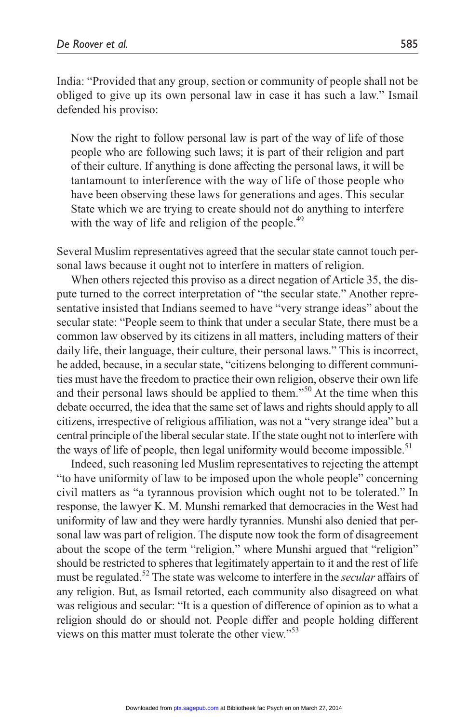India: "Provided that any group, section or community of people shall not be obliged to give up its own personal law in case it has such a law." Ismail defended his proviso:

Now the right to follow personal law is part of the way of life of those people who are following such laws; it is part of their religion and part of their culture. If anything is done affecting the personal laws, it will be tantamount to interference with the way of life of those people who have been observing these laws for generations and ages. This secular State which we are trying to create should not do anything to interfere with the way of life and religion of the people.<sup>49</sup>

Several Muslim representatives agreed that the secular state cannot touch personal laws because it ought not to interfere in matters of religion.

When others rejected this proviso as a direct negation of Article 35, the dispute turned to the correct interpretation of "the secular state." Another representative insisted that Indians seemed to have "very strange ideas" about the secular state: "People seem to think that under a secular State, there must be a common law observed by its citizens in all matters, including matters of their daily life, their language, their culture, their personal laws." This is incorrect, he added, because, in a secular state, "citizens belonging to different communities must have the freedom to practice their own religion, observe their own life and their personal laws should be applied to them."50 At the time when this debate occurred, the idea that the same set of laws and rights should apply to all citizens, irrespective of religious affiliation, was not a "very strange idea" but a central principle of the liberal secular state. If the state ought not to interfere with the ways of life of people, then legal uniformity would become impossible.<sup>51</sup>

Indeed, such reasoning led Muslim representatives to rejecting the attempt "to have uniformity of law to be imposed upon the whole people" concerning civil matters as "a tyrannous provision which ought not to be tolerated." In response, the lawyer K. M. Munshi remarked that democracies in the West had uniformity of law and they were hardly tyrannies. Munshi also denied that personal law was part of religion. The dispute now took the form of disagreement about the scope of the term "religion," where Munshi argued that "religion" should be restricted to spheres that legitimately appertain to it and the rest of life must be regulated.52 The state was welcome to interfere in the *secular* affairs of any religion. But, as Ismail retorted, each community also disagreed on what was religious and secular: "It is a question of difference of opinion as to what a religion should do or should not. People differ and people holding different views on this matter must tolerate the other view."53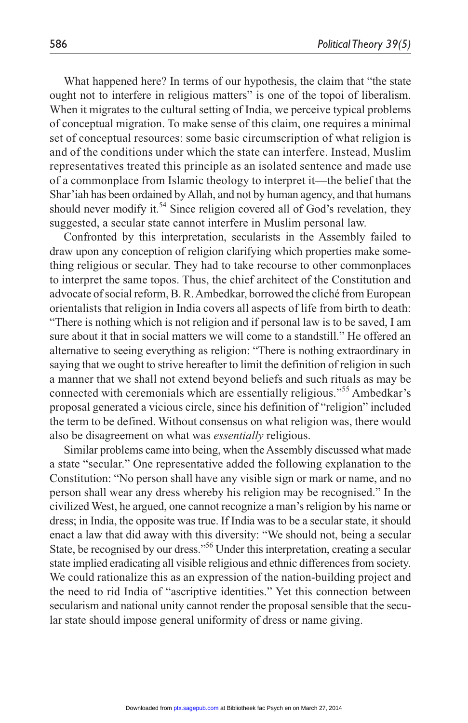What happened here? In terms of our hypothesis, the claim that "the state ought not to interfere in religious matters" is one of the topoi of liberalism. When it migrates to the cultural setting of India, we perceive typical problems of conceptual migration. To make sense of this claim, one requires a minimal set of conceptual resources: some basic circumscription of what religion is and of the conditions under which the state can interfere. Instead, Muslim representatives treated this principle as an isolated sentence and made use of a commonplace from Islamic theology to interpret it—the belief that the Shar'iah has been ordained by Allah, and not by human agency, and that humans should never modify it.<sup>54</sup> Since religion covered all of God's revelation, they suggested, a secular state cannot interfere in Muslim personal law.

Confronted by this interpretation, secularists in the Assembly failed to draw upon any conception of religion clarifying which properties make something religious or secular. They had to take recourse to other commonplaces to interpret the same topos. Thus, the chief architect of the Constitution and advocate of social reform, B. R. Ambedkar, borrowed the cliché from European orientalists that religion in India covers all aspects of life from birth to death: "There is nothing which is not religion and if personal law is to be saved, I am sure about it that in social matters we will come to a standstill." He offered an alternative to seeing everything as religion: "There is nothing extraordinary in saying that we ought to strive hereafter to limit the definition of religion in such a manner that we shall not extend beyond beliefs and such rituals as may be connected with ceremonials which are essentially religious."<sup>55</sup> Ambedkar's proposal generated a vicious circle, since his definition of "religion" included the term to be defined. Without consensus on what religion was, there would also be disagreement on what was *essentially* religious.

Similar problems came into being, when the Assembly discussed what made a state "secular." One representative added the following explanation to the Constitution: "No person shall have any visible sign or mark or name, and no person shall wear any dress whereby his religion may be recognised." In the civilized West, he argued, one cannot recognize a man's religion by his name or dress; in India, the opposite was true. If India was to be a secular state, it should enact a law that did away with this diversity: "We should not, being a secular State, be recognised by our dress."56 Under this interpretation, creating a secular state implied eradicating all visible religious and ethnic differences from society. We could rationalize this as an expression of the nation-building project and the need to rid India of "ascriptive identities." Yet this connection between secularism and national unity cannot render the proposal sensible that the secular state should impose general uniformity of dress or name giving.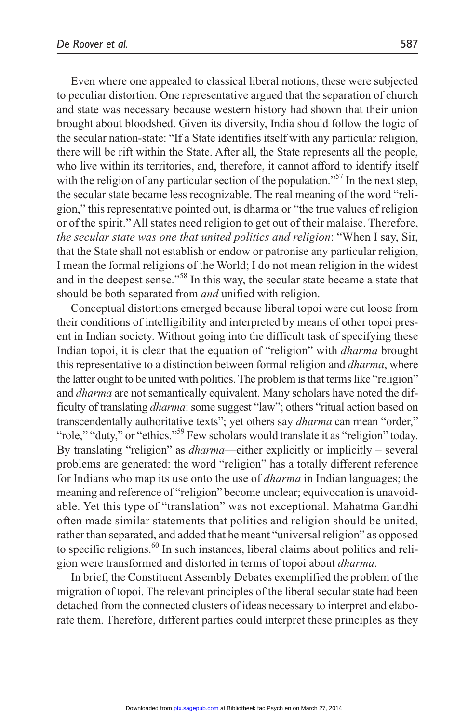Even where one appealed to classical liberal notions, these were subjected to peculiar distortion. One representative argued that the separation of church and state was necessary because western history had shown that their union brought about bloodshed. Given its diversity, India should follow the logic of the secular nation-state: "If a State identifies itself with any particular religion, there will be rift within the State. After all, the State represents all the people, who live within its territories, and, therefore, it cannot afford to identify itself with the religion of any particular section of the population."<sup>57</sup> In the next step, the secular state became less recognizable. The real meaning of the word "religion," this representative pointed out, is dharma or "the true values of religion or of the spirit." All states need religion to get out of their malaise. Therefore, *the secular state was one that united politics and religion*: "When I say, Sir, that the State shall not establish or endow or patronise any particular religion, I mean the formal religions of the World; I do not mean religion in the widest and in the deepest sense."58 In this way, the secular state became a state that should be both separated from *and* unified with religion.

Conceptual distortions emerged because liberal topoi were cut loose from their conditions of intelligibility and interpreted by means of other topoi present in Indian society. Without going into the difficult task of specifying these Indian topoi, it is clear that the equation of "religion" with *dharma* brought this representative to a distinction between formal religion and *dharma*, where the latter ought to be united with politics. The problem is that terms like "religion" and *dharma* are not semantically equivalent. Many scholars have noted the difficulty of translating *dharma*: some suggest "law"; others "ritual action based on transcendentally authoritative texts"; yet others say *dharma* can mean "order," "role," "duty," or "ethics."<sup>59</sup> Few scholars would translate it as "religion" today. By translating "religion" as *dharma*—either explicitly or implicitly – several problems are generated: the word "religion" has a totally different reference for Indians who map its use onto the use of *dharma* in Indian languages; the meaning and reference of "religion" become unclear; equivocation is unavoidable. Yet this type of "translation" was not exceptional. Mahatma Gandhi often made similar statements that politics and religion should be united, rather than separated, and added that he meant "universal religion" as opposed to specific religions.<sup>60</sup> In such instances, liberal claims about politics and religion were transformed and distorted in terms of topoi about *dharma*.

In brief, the Constituent Assembly Debates exemplified the problem of the migration of topoi. The relevant principles of the liberal secular state had been detached from the connected clusters of ideas necessary to interpret and elaborate them. Therefore, different parties could interpret these principles as they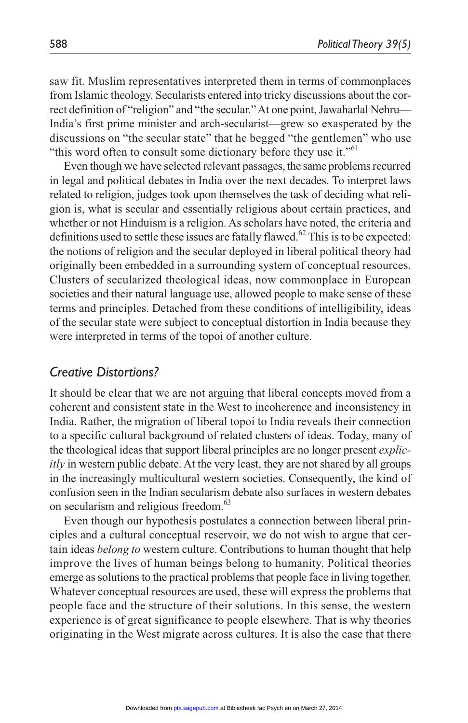saw fit. Muslim representatives interpreted them in terms of commonplaces from Islamic theology. Secularists entered into tricky discussions about the correct definition of "religion" and "the secular." At one point, Jawaharlal Nehru— India's first prime minister and arch-secularist—grew so exasperated by the discussions on "the secular state" that he begged "the gentlemen" who use "this word often to consult some dictionary before they use it."<sup>61</sup>

Even though we have selected relevant passages, the same problems recurred in legal and political debates in India over the next decades. To interpret laws related to religion, judges took upon themselves the task of deciding what religion is, what is secular and essentially religious about certain practices, and whether or not Hinduism is a religion. As scholars have noted, the criteria and definitions used to settle these issues are fatally flawed.<sup>62</sup> This is to be expected: the notions of religion and the secular deployed in liberal political theory had originally been embedded in a surrounding system of conceptual resources. Clusters of secularized theological ideas, now commonplace in European societies and their natural language use, allowed people to make sense of these terms and principles. Detached from these conditions of intelligibility, ideas of the secular state were subject to conceptual distortion in India because they were interpreted in terms of the topoi of another culture.

### *Creative Distortions?*

It should be clear that we are not arguing that liberal concepts moved from a coherent and consistent state in the West to incoherence and inconsistency in India. Rather, the migration of liberal topoi to India reveals their connection to a specific cultural background of related clusters of ideas. Today, many of the theological ideas that support liberal principles are no longer present *explicitly* in western public debate. At the very least, they are not shared by all groups in the increasingly multicultural western societies. Consequently, the kind of confusion seen in the Indian secularism debate also surfaces in western debates on secularism and religious freedom.<sup>63</sup>

Even though our hypothesis postulates a connection between liberal principles and a cultural conceptual reservoir, we do not wish to argue that certain ideas *belong to* western culture. Contributions to human thought that help improve the lives of human beings belong to humanity. Political theories emerge as solutions to the practical problems that people face in living together. Whatever conceptual resources are used, these will express the problems that people face and the structure of their solutions. In this sense, the western experience is of great significance to people elsewhere. That is why theories originating in the West migrate across cultures. It is also the case that there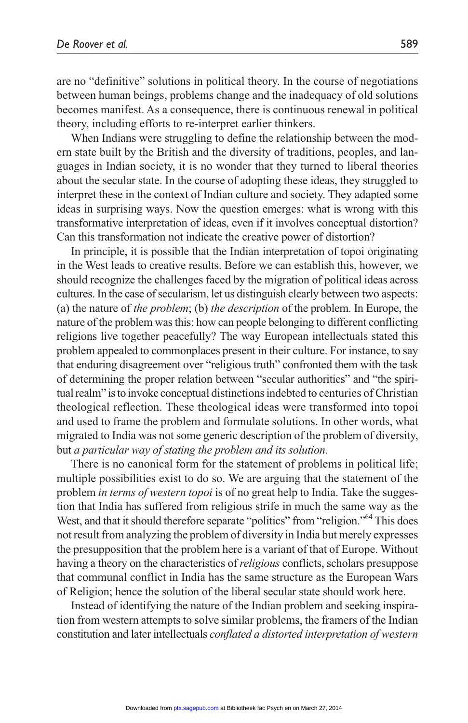are no "definitive" solutions in political theory. In the course of negotiations between human beings, problems change and the inadequacy of old solutions becomes manifest. As a consequence, there is continuous renewal in political theory, including efforts to re-interpret earlier thinkers.

When Indians were struggling to define the relationship between the modern state built by the British and the diversity of traditions, peoples, and languages in Indian society, it is no wonder that they turned to liberal theories about the secular state. In the course of adopting these ideas, they struggled to interpret these in the context of Indian culture and society. They adapted some ideas in surprising ways. Now the question emerges: what is wrong with this transformative interpretation of ideas, even if it involves conceptual distortion? Can this transformation not indicate the creative power of distortion?

In principle, it is possible that the Indian interpretation of topoi originating in the West leads to creative results. Before we can establish this, however, we should recognize the challenges faced by the migration of political ideas across cultures. In the case of secularism, let us distinguish clearly between two aspects: (a) the nature of *the problem*; (b) *the description* of the problem. In Europe, the nature of the problem was this: how can people belonging to different conflicting religions live together peacefully? The way European intellectuals stated this problem appealed to commonplaces present in their culture. For instance, to say that enduring disagreement over "religious truth" confronted them with the task of determining the proper relation between "secular authorities" and "the spiritual realm" is to invoke conceptual distinctions indebted to centuries of Christian theological reflection. These theological ideas were transformed into topoi and used to frame the problem and formulate solutions. In other words, what migrated to India was not some generic description of the problem of diversity, but *a particular way of stating the problem and its solution*.

There is no canonical form for the statement of problems in political life; multiple possibilities exist to do so. We are arguing that the statement of the problem *in terms of western topoi* is of no great help to India. Take the suggestion that India has suffered from religious strife in much the same way as the West, and that it should therefore separate "politics" from "religion."<sup>64</sup> This does not result from analyzing the problem of diversity in India but merely expresses the presupposition that the problem here is a variant of that of Europe. Without having a theory on the characteristics of *religious* conflicts, scholars presuppose that communal conflict in India has the same structure as the European Wars of Religion; hence the solution of the liberal secular state should work here.

Instead of identifying the nature of the Indian problem and seeking inspiration from western attempts to solve similar problems, the framers of the Indian constitution and later intellectuals *conflated a distorted interpretation of western*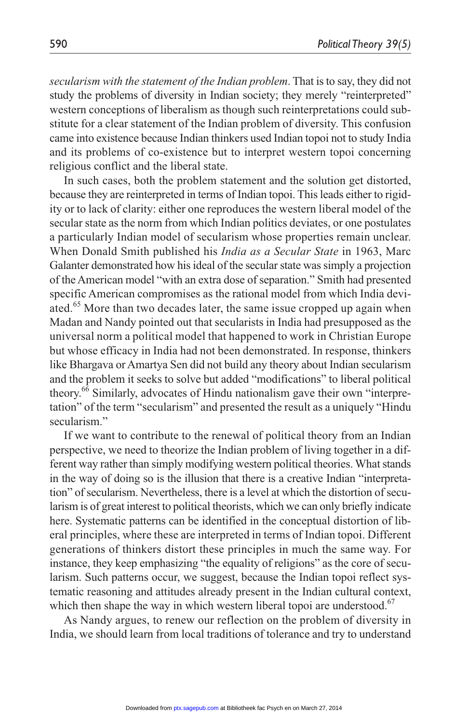*secularism with the statement of the Indian problem*. That is to say, they did not study the problems of diversity in Indian society; they merely "reinterpreted" western conceptions of liberalism as though such reinterpretations could substitute for a clear statement of the Indian problem of diversity. This confusion came into existence because Indian thinkers used Indian topoi not to study India and its problems of co-existence but to interpret western topoi concerning religious conflict and the liberal state.

In such cases, both the problem statement and the solution get distorted, because they are reinterpreted in terms of Indian topoi. This leads either to rigidity or to lack of clarity: either one reproduces the western liberal model of the secular state as the norm from which Indian politics deviates, or one postulates a particularly Indian model of secularism whose properties remain unclear. When Donald Smith published his *India as a Secular State* in 1963, Marc Galanter demonstrated how his ideal of the secular state was simply a projection of the American model "with an extra dose of separation." Smith had presented specific American compromises as the rational model from which India deviated.<sup>65</sup> More than two decades later, the same issue cropped up again when Madan and Nandy pointed out that secularists in India had presupposed as the universal norm a political model that happened to work in Christian Europe but whose efficacy in India had not been demonstrated. In response, thinkers like Bhargava or Amartya Sen did not build any theory about Indian secularism and the problem it seeks to solve but added "modifications" to liberal political theory.<sup>66</sup> Similarly, advocates of Hindu nationalism gave their own "interpretation" of the term "secularism" and presented the result as a uniquely "Hindu secularism."

If we want to contribute to the renewal of political theory from an Indian perspective, we need to theorize the Indian problem of living together in a different way rather than simply modifying western political theories. What stands in the way of doing so is the illusion that there is a creative Indian "interpretation" of secularism. Nevertheless, there is a level at which the distortion of secularism is of great interest to political theorists, which we can only briefly indicate here. Systematic patterns can be identified in the conceptual distortion of liberal principles, where these are interpreted in terms of Indian topoi. Different generations of thinkers distort these principles in much the same way. For instance, they keep emphasizing "the equality of religions" as the core of secularism. Such patterns occur, we suggest, because the Indian topoi reflect systematic reasoning and attitudes already present in the Indian cultural context, which then shape the way in which western liberal topoi are understood. $67$ 

As Nandy argues, to renew our reflection on the problem of diversity in India, we should learn from local traditions of tolerance and try to understand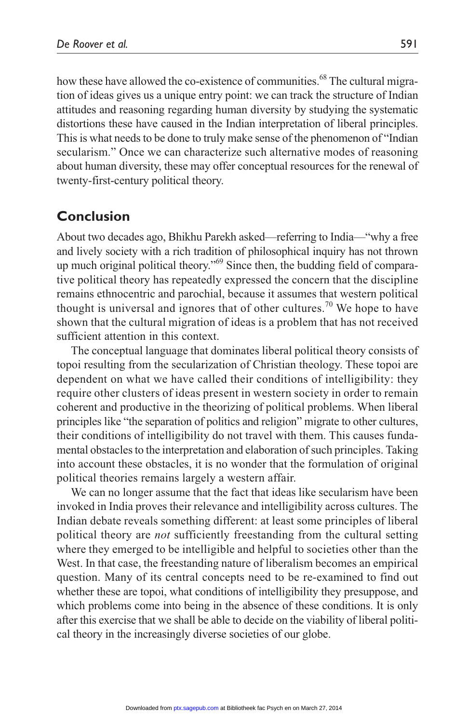how these have allowed the co-existence of communities.<sup>68</sup> The cultural migration of ideas gives us a unique entry point: we can track the structure of Indian attitudes and reasoning regarding human diversity by studying the systematic distortions these have caused in the Indian interpretation of liberal principles. This is what needs to be done to truly make sense of the phenomenon of "Indian secularism." Once we can characterize such alternative modes of reasoning about human diversity, these may offer conceptual resources for the renewal of twenty-first-century political theory.

# **Conclusion**

About two decades ago, Bhikhu Parekh asked—referring to India—"why a free and lively society with a rich tradition of philosophical inquiry has not thrown up much original political theory."69 Since then, the budding field of comparative political theory has repeatedly expressed the concern that the discipline remains ethnocentric and parochial, because it assumes that western political thought is universal and ignores that of other cultures.<sup>70</sup> We hope to have shown that the cultural migration of ideas is a problem that has not received sufficient attention in this context.

The conceptual language that dominates liberal political theory consists of topoi resulting from the secularization of Christian theology. These topoi are dependent on what we have called their conditions of intelligibility: they require other clusters of ideas present in western society in order to remain coherent and productive in the theorizing of political problems. When liberal principles like "the separation of politics and religion" migrate to other cultures, their conditions of intelligibility do not travel with them. This causes fundamental obstacles to the interpretation and elaboration of such principles. Taking into account these obstacles, it is no wonder that the formulation of original political theories remains largely a western affair.

We can no longer assume that the fact that ideas like secularism have been invoked in India proves their relevance and intelligibility across cultures. The Indian debate reveals something different: at least some principles of liberal political theory are *not* sufficiently freestanding from the cultural setting where they emerged to be intelligible and helpful to societies other than the West. In that case, the freestanding nature of liberalism becomes an empirical question. Many of its central concepts need to be re-examined to find out whether these are topoi, what conditions of intelligibility they presuppose, and which problems come into being in the absence of these conditions. It is only after this exercise that we shall be able to decide on the viability of liberal political theory in the increasingly diverse societies of our globe.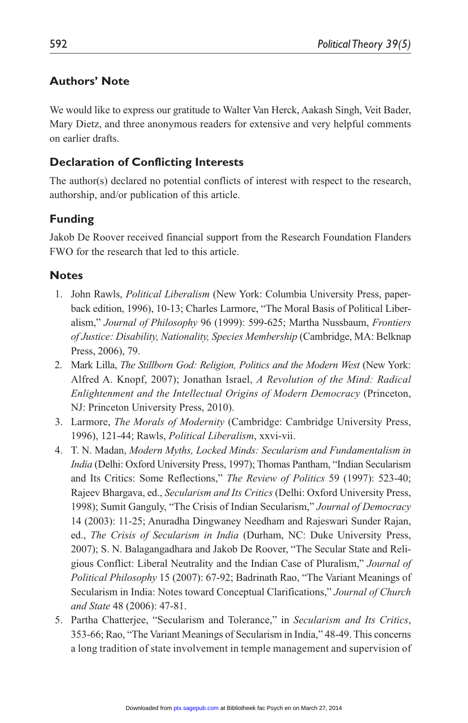# **Authors' Note**

We would like to express our gratitude to Walter Van Herck, Aakash Singh, Veit Bader, Mary Dietz, and three anonymous readers for extensive and very helpful comments on earlier drafts.

## **Declaration of Conflicting Interests**

The author(s) declared no potential conflicts of interest with respect to the research, authorship, and/or publication of this article.

# **Funding**

Jakob De Roover received financial support from the Research Foundation Flanders FWO for the research that led to this article.

### **Notes**

- 1. John Rawls, *Political Liberalism* (New York: Columbia University Press, paperback edition, 1996), 10-13; Charles Larmore, "The Moral Basis of Political Liberalism," *Journal of Philosophy* 96 (1999): 599-625; Martha Nussbaum, *Frontiers of Justice: Disability, Nationality, Species Membership* (Cambridge, MA: Belknap Press, 2006), 79.
- 2. Mark Lilla, *The Stillborn God: Religion, Politics and the Modern West* (New York: Alfred A. Knopf, 2007); Jonathan Israel, *A Revolution of the Mind: Radical Enlightenment and the Intellectual Origins of Modern Democracy* (Princeton, NJ: Princeton University Press, 2010).
- 3. Larmore, *The Morals of Modernity* (Cambridge: Cambridge University Press, 1996), 121-44; Rawls, *Political Liberalism*, xxvi-vii.
- 4. T. N. Madan, *Modern Myths, Locked Minds: Secularism and Fundamentalism in India* (Delhi: Oxford University Press, 1997); Thomas Pantham, "Indian Secularism and Its Critics: Some Reflections," *The Review of Politics* 59 (1997): 523-40; Rajeev Bhargava, ed., *Secularism and Its Critics* (Delhi: Oxford University Press, 1998); Sumit Ganguly, "The Crisis of Indian Secularism," *Journal of Democracy* 14 (2003): 11-25; Anuradha Dingwaney Needham and Rajeswari Sunder Rajan, ed., *The Crisis of Secularism in India* (Durham, NC: Duke University Press, 2007); S. N. Balagangadhara and Jakob De Roover, "The Secular State and Religious Conflict: Liberal Neutrality and the Indian Case of Pluralism," *Journal of Political Philosophy* 15 (2007): 67-92; Badrinath Rao, "The Variant Meanings of Secularism in India: Notes toward Conceptual Clarifications," *Journal of Church and State* 48 (2006): 47-81.
- 5. Partha Chatterjee, "Secularism and Tolerance," in *Secularism and Its Critics*, 353-66; Rao, "The Variant Meanings of Secularism in India," 48-49. This concerns a long tradition of state involvement in temple management and supervision of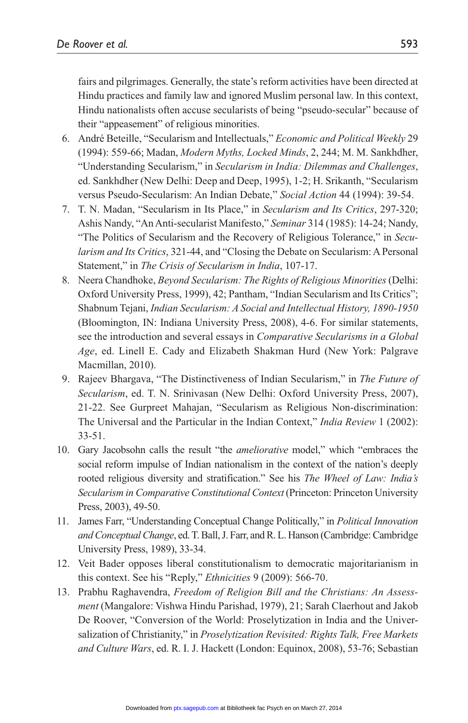fairs and pilgrimages. Generally, the state's reform activities have been directed at Hindu practices and family law and ignored Muslim personal law. In this context, Hindu nationalists often accuse secularists of being "pseudo-secular" because of their "appeasement" of religious minorities.

- 6. André Beteille, "Secularism and Intellectuals," *Economic and Political Weekly* 29 (1994): 559-66; Madan, *Modern Myths, Locked Minds*, 2, 244; M. M. Sankhdher, "Understanding Secularism," in *Secularism in India: Dilemmas and Challenges*, ed. Sankhdher (New Delhi: Deep and Deep, 1995), 1-2; H. Srikanth, "Secularism versus Pseudo-Secularism: An Indian Debate," *Social Action* 44 (1994): 39-54.
- 7. T. N. Madan, "Secularism in Its Place," in *Secularism and Its Critics*, 297-320; Ashis Nandy, "An Anti-secularist Manifesto," *Seminar* 314 (1985): 14-24; Nandy, "The Politics of Secularism and the Recovery of Religious Tolerance," in *Secularism and Its Critics*, 321-44, and "Closing the Debate on Secularism: A Personal Statement," in *The Crisis of Secularism in India*, 107-17.
- 8. Neera Chandhoke, *Beyond Secularism: The Rights of Religious Minorities* (Delhi: Oxford University Press, 1999), 42; Pantham, "Indian Secularism and Its Critics"; Shabnum Tejani, *Indian Secularism: A Social and Intellectual History, 1890-1950* (Bloomington, IN: Indiana University Press, 2008), 4-6. For similar statements, see the introduction and several essays in *Comparative Secularisms in a Global Age*, ed. Linell E. Cady and Elizabeth Shakman Hurd (New York: Palgrave Macmillan, 2010).
- 9. Rajeev Bhargava, "The Distinctiveness of Indian Secularism," in *The Future of Secularism*, ed. T. N. Srinivasan (New Delhi: Oxford University Press, 2007), 21-22. See Gurpreet Mahajan, "Secularism as Religious Non-discrimination: The Universal and the Particular in the Indian Context," *India Review* 1 (2002): 33-51.
- 10. Gary Jacobsohn calls the result "the *ameliorative* model," which "embraces the social reform impulse of Indian nationalism in the context of the nation's deeply rooted religious diversity and stratification." See his *The Wheel of Law: India's Secularism in Comparative Constitutional Context* (Princeton: Princeton University Press, 2003), 49-50.
- 11. James Farr, "Understanding Conceptual Change Politically," in *Political Innovation and Conceptual Change*, ed. T. Ball, J. Farr, and R. L. Hanson (Cambridge: Cambridge University Press, 1989), 33-34.
- 12. Veit Bader opposes liberal constitutionalism to democratic majoritarianism in this context. See his "Reply," *Ethnicities* 9 (2009): 566-70.
- 13. Prabhu Raghavendra, *Freedom of Religion Bill and the Christians: An Assessment* (Mangalore: Vishwa Hindu Parishad, 1979), 21; Sarah Claerhout and Jakob De Roover, "Conversion of the World: Proselytization in India and the Universalization of Christianity," in *Proselytization Revisited: Rights Talk, Free Markets and Culture Wars*, ed. R. I. J. Hackett (London: Equinox, 2008), 53-76; Sebastian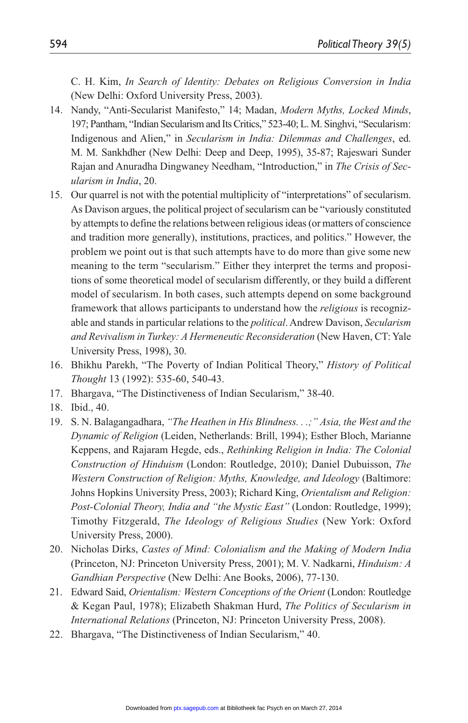C. H. Kim, *In Search of Identity: Debates on Religious Conversion in India* (New Delhi: Oxford University Press, 2003).

- 14. Nandy, "Anti-Secularist Manifesto," 14; Madan, *Modern Myths, Locked Minds*, 197; Pantham, "Indian Secularism and Its Critics," 523-40; L. M. Singhvi, "Secularism: Indigenous and Alien," in *Secularism in India: Dilemmas and Challenges*, ed. M. M. Sankhdher (New Delhi: Deep and Deep, 1995), 35-87; Rajeswari Sunder Rajan and Anuradha Dingwaney Needham, "Introduction," in *The Crisis of Secularism in India*, 20.
- 15. Our quarrel is not with the potential multiplicity of "interpretations" of secularism. As Davison argues, the political project of secularism can be "variously constituted by attempts to define the relations between religious ideas (or matters of conscience and tradition more generally), institutions, practices, and politics." However, the problem we point out is that such attempts have to do more than give some new meaning to the term "secularism." Either they interpret the terms and propositions of some theoretical model of secularism differently, or they build a different model of secularism. In both cases, such attempts depend on some background framework that allows participants to understand how the *religious* is recognizable and stands in particular relations to the *political*. Andrew Davison, *Secularism and Revivalism in Turkey: A Hermeneutic Reconsideration* (New Haven, CT: Yale University Press, 1998), 30.
- 16. Bhikhu Parekh, "The Poverty of Indian Political Theory," *History of Political Thought* 13 (1992): 535-60, 540-43.
- 17. Bhargava, "The Distinctiveness of Indian Secularism," 38-40.
- 18. Ibid., 40.
- 19. S. N. Balagangadhara, *"The Heathen in His Blindness. . .;" Asia, the West and the Dynamic of Religion* (Leiden, Netherlands: Brill, 1994); Esther Bloch, Marianne Keppens, and Rajaram Hegde, eds., *Rethinking Religion in India: The Colonial Construction of Hinduism* (London: Routledge, 2010); Daniel Dubuisson, *The Western Construction of Religion: Myths, Knowledge, and Ideology* (Baltimore: Johns Hopkins University Press, 2003); Richard King, *Orientalism and Religion: Post-Colonial Theory, India and "the Mystic East"* (London: Routledge, 1999); Timothy Fitzgerald, *The Ideology of Religious Studies* (New York: Oxford University Press, 2000).
- 20. Nicholas Dirks, *Castes of Mind: Colonialism and the Making of Modern India* (Princeton, NJ: Princeton University Press, 2001); M. V. Nadkarni, *Hinduism: A Gandhian Perspective* (New Delhi: Ane Books, 2006), 77-130.
- 21. Edward Said, *Orientalism: Western Conceptions of the Orient* (London: Routledge & Kegan Paul, 1978); Elizabeth Shakman Hurd, *The Politics of Secularism in International Relations* (Princeton, NJ: Princeton University Press, 2008).
- 22. Bhargava, "The Distinctiveness of Indian Secularism," 40.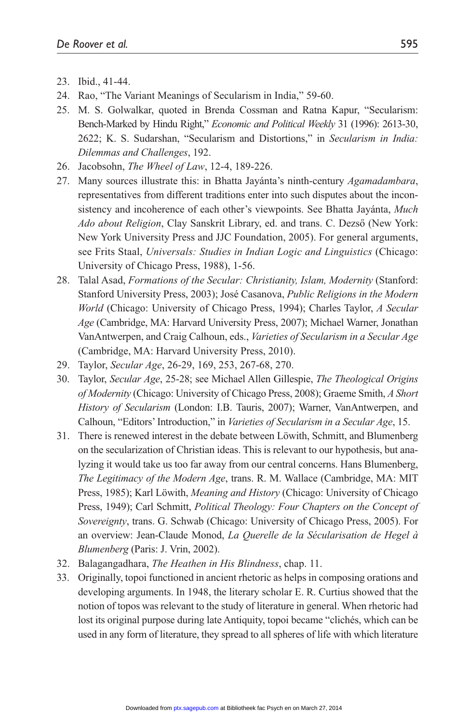- 23. Ibid., 41-44.
- 24. Rao, "The Variant Meanings of Secularism in India," 59-60.
- 25. M. S. Golwalkar, quoted in Brenda Cossman and Ratna Kapur, "Secularism: Bench-Marked by Hindu Right," *Economic and Political Weekly* 31 (1996): 2613-30, 2622; K. S. Sudarshan, "Secularism and Distortions," in *Secularism in India: Dilemmas and Challenges*, 192.
- 26. Jacobsohn, *The Wheel of Law*, 12-4, 189-226.
- 27. Many sources illustrate this: in Bhatta Jayánta's ninth-century *Agamadambara*, representatives from different traditions enter into such disputes about the inconsistency and incoherence of each other's viewpoints. See Bhatta Jayánta, *Much Ado about Religion*, Clay Sanskrit Library, ed. and trans. C. Dezső (New York: New York University Press and JJC Foundation, 2005). For general arguments, see Frits Staal, *Universals: Studies in Indian Logic and Linguistics* (Chicago: University of Chicago Press, 1988), 1-56.
- 28. Talal Asad, *Formations of the Secular: Christianity, Islam, Modernity* (Stanford: Stanford University Press, 2003); José Casanova, *Public Religions in the Modern World* (Chicago: University of Chicago Press, 1994); Charles Taylor, *A Secular Age* (Cambridge, MA: Harvard University Press, 2007); Michael Warner, Jonathan VanAntwerpen, and Craig Calhoun, eds., *Varieties of Secularism in a Secular Age* (Cambridge, MA: Harvard University Press, 2010).
- 29. Taylor, *Secular Age*, 26-29, 169, 253, 267-68, 270.
- 30. Taylor, *Secular Age*, 25-28; see Michael Allen Gillespie, *The Theological Origins of Modernity* (Chicago: University of Chicago Press, 2008); Graeme Smith, *A Short History of Secularism* (London: I.B. Tauris, 2007); Warner, VanAntwerpen, and Calhoun, "Editors' Introduction," in *Varieties of Secularism in a Secular Age*, 15.
- 31. There is renewed interest in the debate between Löwith, Schmitt, and Blumenberg on the secularization of Christian ideas. This is relevant to our hypothesis, but analyzing it would take us too far away from our central concerns. Hans Blumenberg, *The Legitimacy of the Modern Age*, trans. R. M. Wallace (Cambridge, MA: MIT Press, 1985); Karl Löwith, *Meaning and History* (Chicago: University of Chicago Press, 1949); Carl Schmitt, *Political Theology: Four Chapters on the Concept of Sovereignty*, trans. G. Schwab (Chicago: University of Chicago Press, 2005). For an overview: Jean-Claude Monod, *La Querelle de la Sécularisation de Hegel à Blumenberg* (Paris: J. Vrin, 2002).
- 32. Balagangadhara, *The Heathen in His Blindness*, chap. 11.
- 33. Originally, topoi functioned in ancient rhetoric as helps in composing orations and developing arguments. In 1948, the literary scholar E. R. Curtius showed that the notion of topos was relevant to the study of literature in general. When rhetoric had lost its original purpose during late Antiquity, topoi became "clichés, which can be used in any form of literature, they spread to all spheres of life with which literature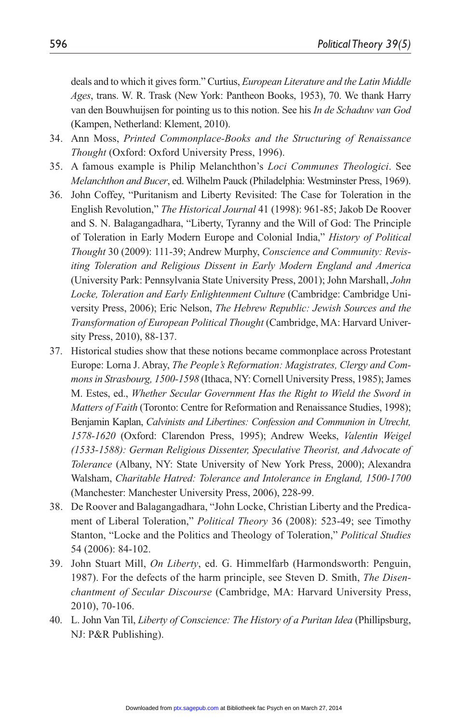deals and to which it gives form." Curtius, *European Literature and the Latin Middle Ages*, trans. W. R. Trask (New York: Pantheon Books, 1953), 70. We thank Harry van den Bouwhuijsen for pointing us to this notion. See his *In de Schaduw van God* (Kampen, Netherland: Klement, 2010).

- 34. Ann Moss, *Printed Commonplace-Books and the Structuring of Renaissance Thought* (Oxford: Oxford University Press, 1996).
- 35. A famous example is Philip Melanchthon's *Loci Communes Theologici*. See *Melanchthon and Bucer*, ed. Wilhelm Pauck (Philadelphia: Westminster Press, 1969).
- 36. John Coffey, "Puritanism and Liberty Revisited: The Case for Toleration in the English Revolution," *The Historical Journal* 41 (1998): 961-85; Jakob De Roover and S. N. Balagangadhara, "Liberty, Tyranny and the Will of God: The Principle of Toleration in Early Modern Europe and Colonial India," *History of Political Thought* 30 (2009): 111-39; Andrew Murphy, *Conscience and Community: Revisiting Toleration and Religious Dissent in Early Modern England and America* (University Park: Pennsylvania State University Press, 2001); John Marshall, *John Locke, Toleration and Early Enlightenment Culture* (Cambridge: Cambridge University Press, 2006); Eric Nelson, *The Hebrew Republic: Jewish Sources and the Transformation of European Political Thought* (Cambridge, MA: Harvard University Press, 2010), 88-137.
- 37. Historical studies show that these notions became commonplace across Protestant Europe: Lorna J. Abray, *The People's Reformation: Magistrates, Clergy and Commons in Strasbourg, 1500-1598* (Ithaca, NY: Cornell University Press, 1985); James M. Estes, ed., *Whether Secular Government Has the Right to Wield the Sword in Matters of Faith* (Toronto: Centre for Reformation and Renaissance Studies, 1998); Benjamin Kaplan, *Calvinists and Libertines: Confession and Communion in Utrecht, 1578-1620* (Oxford: Clarendon Press, 1995); Andrew Weeks, *Valentin Weigel (1533-1588): German Religious Dissenter, Speculative Theorist, and Advocate of Tolerance* (Albany, NY: State University of New York Press, 2000); Alexandra Walsham, *Charitable Hatred: Tolerance and Intolerance in England, 1500-1700* (Manchester: Manchester University Press, 2006), 228-99.
- 38. De Roover and Balagangadhara, "John Locke, Christian Liberty and the Predicament of Liberal Toleration," *Political Theory* 36 (2008): 523-49; see Timothy Stanton, "Locke and the Politics and Theology of Toleration," *Political Studies* 54 (2006): 84-102.
- 39. John Stuart Mill, *On Liberty*, ed. G. Himmelfarb (Harmondsworth: Penguin, 1987). For the defects of the harm principle, see Steven D. Smith, *The Disenchantment of Secular Discourse* (Cambridge, MA: Harvard University Press, 2010), 70-106.
- 40. L. John Van Til, *Liberty of Conscience: The History of a Puritan Idea* (Phillipsburg, NJ: P&R Publishing).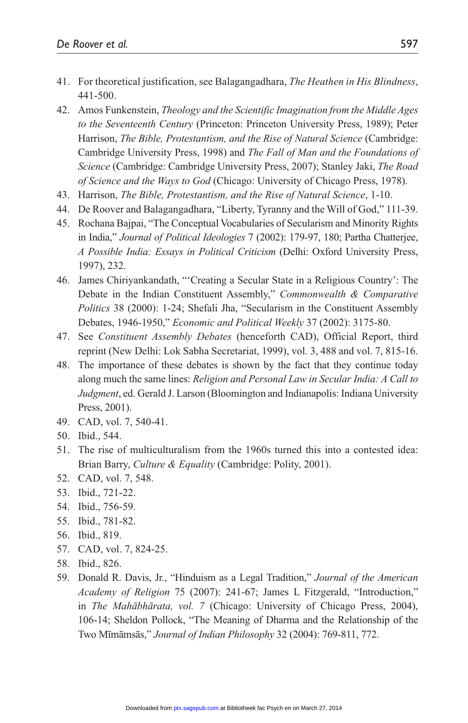- 41. For theoretical justification, see Balagangadhara, *The Heathen in His Blindness*, 441-500.
- 42. Amos Funkenstein, *Theology and the Scientific Imagination from the Middle Ages to the Seventeenth Century* (Princeton: Princeton University Press, 1989); Peter Harrison, *The Bible, Protestantism, and the Rise of Natural Science* (Cambridge: Cambridge University Press, 1998) and *The Fall of Man and the Foundations of Science* (Cambridge: Cambridge University Press, 2007); Stanley Jaki, *The Road of Science and the Ways to God* (Chicago: University of Chicago Press, 1978).
- 43. Harrison, *The Bible, Protestantism, and the Rise of Natural Science*, 1-10.
- 44. De Roover and Balagangadhara, "Liberty, Tyranny and the Will of God," 111-39.
- 45. Rochana Bajpai, "The Conceptual Vocabularies of Secularism and Minority Rights in India," *Journal of Political Ideologies* 7 (2002): 179-97, 180; Partha Chatterjee, *A Possible India: Essays in Political Criticism* (Delhi: Oxford University Press, 1997), 232.
- 46. James Chiriyankandath, "'Creating a Secular State in a Religious Country': The Debate in the Indian Constituent Assembly," *Commonwealth & Comparative Politics* 38 (2000): 1-24; Shefali Jha, "Secularism in the Constituent Assembly Debates, 1946-1950," *Economic and Political Weekly* 37 (2002): 3175-80.
- 47. See *Constituent Assembly Debates* (henceforth CAD), Official Report, third reprint (New Delhi: Lok Sabha Secretariat, 1999), vol. 3, 488 and vol. 7, 815-16.
- 48. The importance of these debates is shown by the fact that they continue today along much the same lines: *Religion and Personal Law in Secular India: A Call to Judgment*, ed. Gerald J. Larson (Bloomington and Indianapolis: Indiana University Press, 2001).
- 49. CAD, vol. 7, 540-41.
- 50. Ibid., 544.
- 51. The rise of multiculturalism from the 1960s turned this into a contested idea: Brian Barry, *Culture & Equality* (Cambridge: Polity, 2001).
- 52. CAD, vol. 7, 548.
- 53. Ibid., 721-22.
- 54. Ibid., 756-59.
- 55. Ibid., 781-82.
- 56. Ibid., 819.
- 57. CAD, vol. 7, 824-25.
- 58. Ibid., 826.
- 59. Donald R. Davis, Jr., "Hinduism as a Legal Tradition," *Journal of the American Academy of Religion* 75 (2007): 241-67; James L Fitzgerald, "Introduction," in *The Mahābhārata, vol. 7* (Chicago: University of Chicago Press, 2004), 106-14; Sheldon Pollock, "The Meaning of Dharma and the Relationship of the Two Mīmāmsās," *Journal of Indian Philosophy* 32 (2004): 769-811, 772.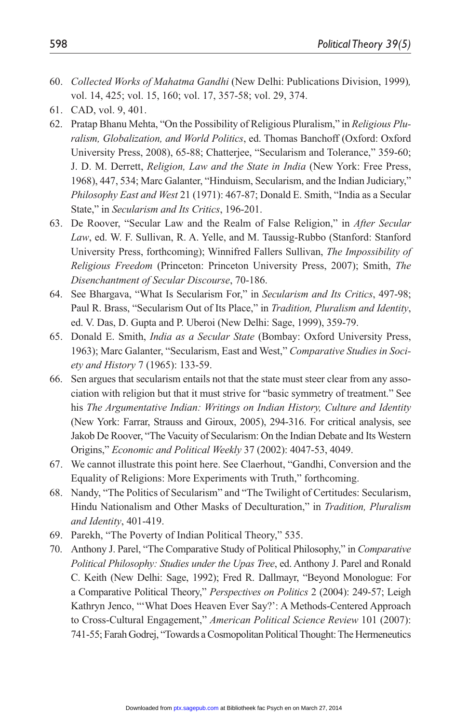60. *Collected Works of Mahatma Gandhi* (New Delhi: Publications Division, 1999)*,* vol. 14, 425; vol. 15, 160; vol. 17, 357-58; vol. 29, 374.

- 62. Pratap Bhanu Mehta, "On the Possibility of Religious Pluralism," in *Religious Pluralism, Globalization, and World Politics*, ed. Thomas Banchoff (Oxford: Oxford University Press, 2008), 65-88; Chatterjee, "Secularism and Tolerance," 359-60; J. D. M. Derrett, *Religion, Law and the State in India* (New York: Free Press, 1968), 447, 534; Marc Galanter, "Hinduism, Secularism, and the Indian Judiciary," *Philosophy East and West* 21 (1971): 467-87; Donald E. Smith, "India as a Secular State," in *Secularism and Its Critics*, 196-201.
- 63. De Roover, "Secular Law and the Realm of False Religion," in *After Secular Law*, ed. W. F. Sullivan, R. A. Yelle, and M. Taussig-Rubbo (Stanford: Stanford University Press, forthcoming); Winnifred Fallers Sullivan, *The Impossibility of Religious Freedom* (Princeton: Princeton University Press, 2007); Smith, *The Disenchantment of Secular Discourse*, 70-186.
- 64. See Bhargava, "What Is Secularism For," in *Secularism and Its Critics*, 497-98; Paul R. Brass, "Secularism Out of Its Place," in *Tradition, Pluralism and Identity*, ed. V. Das, D. Gupta and P. Uberoi (New Delhi: Sage, 1999), 359-79.
- 65. Donald E. Smith, *India as a Secular State* (Bombay: Oxford University Press, 1963); Marc Galanter, "Secularism, East and West," *Comparative Studies in Society and History* 7 (1965): 133-59.
- 66. Sen argues that secularism entails not that the state must steer clear from any association with religion but that it must strive for "basic symmetry of treatment." See his *The Argumentative Indian: Writings on Indian History, Culture and Identity* (New York: Farrar, Strauss and Giroux, 2005), 294-316. For critical analysis, see Jakob De Roover, "The Vacuity of Secularism: On the Indian Debate and Its Western Origins," *Economic and Political Weekly* 37 (2002): 4047-53, 4049.
- 67. We cannot illustrate this point here. See Claerhout, "Gandhi, Conversion and the Equality of Religions: More Experiments with Truth," forthcoming.
- 68. Nandy, "The Politics of Secularism" and "The Twilight of Certitudes: Secularism, Hindu Nationalism and Other Masks of Deculturation," in *Tradition, Pluralism and Identity*, 401-419.
- 69. Parekh, "The Poverty of Indian Political Theory," 535.
- 70. Anthony J. Parel, "The Comparative Study of Political Philosophy," in *Comparative Political Philosophy: Studies under the Upas Tree*, ed. Anthony J. Parel and Ronald C. Keith (New Delhi: Sage, 1992); Fred R. Dallmayr, "Beyond Monologue: For a Comparative Political Theory," *Perspectives on Politics* 2 (2004): 249-57; Leigh Kathryn Jenco, "'What Does Heaven Ever Say?': A Methods-Centered Approach to Cross-Cultural Engagement," *American Political Science Review* 101 (2007): 741-55; Farah Godrej, "Towards a Cosmopolitan Political Thought: The Hermeneutics

<sup>61.</sup> CAD, vol. 9, 401.